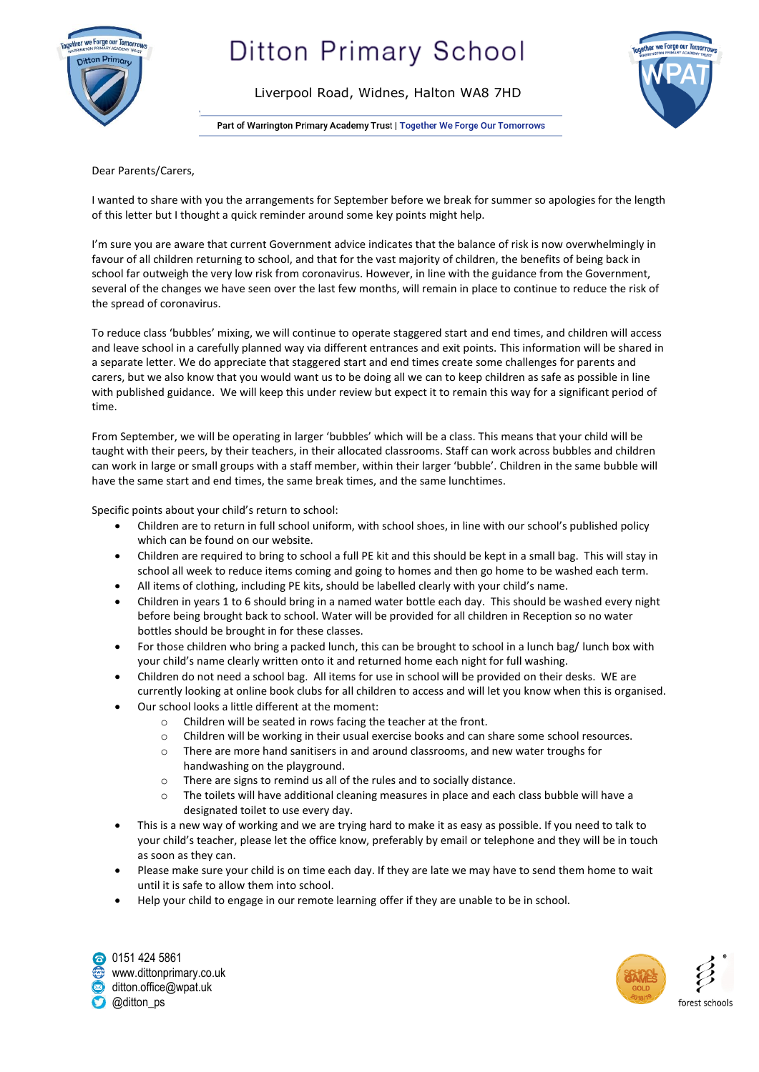

# **Ditton Primary School**

Liverpool Road, Widnes, Halton WA8 7HD

Part of Warrington Primary Academy Trust | Together We Forge Our Tomorrows



Dear Parents/Carers,

I wanted to share with you the arrangements for September before we break for summer so apologies for the length of this letter but I thought a quick reminder around some key points might help.

I'm sure you are aware that current Government advice indicates that the balance of risk is now overwhelmingly in favour of all children returning to school, and that for the vast majority of children, the benefits of being back in school far outweigh the very low risk from coronavirus. However, in line with the guidance from the Government, several of the changes we have seen over the last few months, will remain in place to continue to reduce the risk of the spread of coronavirus.

To reduce class 'bubbles' mixing, we will continue to operate staggered start and end times, and children will access and leave school in a carefully planned way via different entrances and exit points. This information will be shared in a separate letter. We do appreciate that staggered start and end times create some challenges for parents and carers, but we also know that you would want us to be doing all we can to keep children as safe as possible in line with published guidance. We will keep this under review but expect it to remain this way for a significant period of time.

From September, we will be operating in larger 'bubbles' which will be a class. This means that your child will be taught with their peers, by their teachers, in their allocated classrooms. Staff can work across bubbles and children can work in large or small groups with a staff member, within their larger 'bubble'. Children in the same bubble will have the same start and end times, the same break times, and the same lunchtimes.

Specific points about your child's return to school:

- Children are to return in full school uniform, with school shoes, in line with our school's published policy which can be found on our website.
- Children are required to bring to school a full PE kit and this should be kept in a small bag. This will stay in school all week to reduce items coming and going to homes and then go home to be washed each term.
- All items of clothing, including PE kits, should be labelled clearly with your child's name.
- Children in years 1 to 6 should bring in a named water bottle each day. This should be washed every night before being brought back to school. Water will be provided for all children in Reception so no water bottles should be brought in for these classes.
- For those children who bring a packed lunch, this can be brought to school in a lunch bag/ lunch box with your child's name clearly written onto it and returned home each night for full washing.
- Children do not need a school bag. All items for use in school will be provided on their desks. WE are currently looking at online book clubs for all children to access and will let you know when this is organised.
- Our school looks a little different at the moment:
	- o Children will be seated in rows facing the teacher at the front.
	- o Children will be working in their usual exercise books and can share some school resources.
	- o There are more hand sanitisers in and around classrooms, and new water troughs for handwashing on the playground.
	- o There are signs to remind us all of the rules and to socially distance.
	- o The toilets will have additional cleaning measures in place and each class bubble will have a designated toilet to use every day.
- This is a new way of working and we are trying hard to make it as easy as possible. If you need to talk to your child's teacher, please let the office know, preferably by email or telephone and they will be in touch as soon as they can.
- Please make sure your child is on time each day. If they are late we may have to send them home to wait until it is safe to allow them into school.
- Help your child to engage in our remote learning offer if they are unable to be in school.

0151 424 5861 www.dittonprimary.co.uk ditton.office@wpat.uk @ditton\_ps